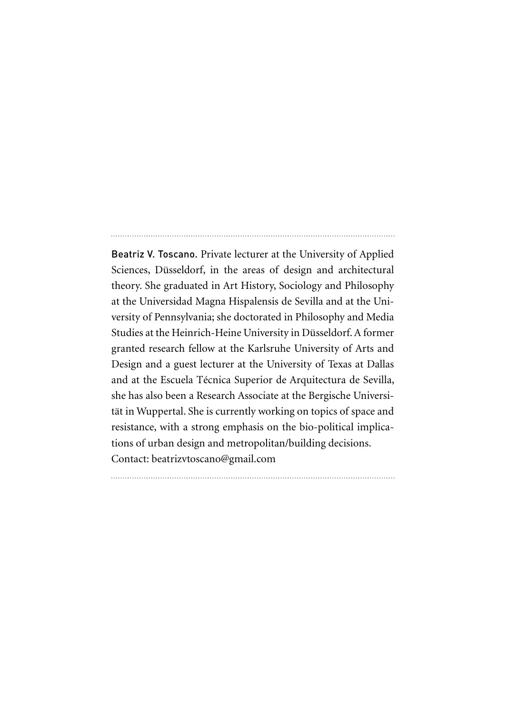Beatriz V. Toscano. Private lecturer at the University of Applied Sciences, Düsseldorf, in the areas of design and architectural theory. She graduated in Art History, Sociology and Philosophy at the Universidad Magna Hispalensis de Sevilla and at the University of Pennsylvania; she doctorated in Philosophy and Media Studies at the Heinrich-Heine University in Düsseldorf. A former granted research fellow at the Karlsruhe University of Arts and Design and a guest lecturer at the University of Texas at Dallas and at the Escuela Técnica Superior de Arquitectura de Sevilla, she has also been a Research Associate at the Bergische Universität in Wuppertal. She is currently working on topics of space and resistance, with a strong emphasis on the bio-political implications of urban design and metropolitan/building decisions. Contact: beatrizvtoscano@gmail.com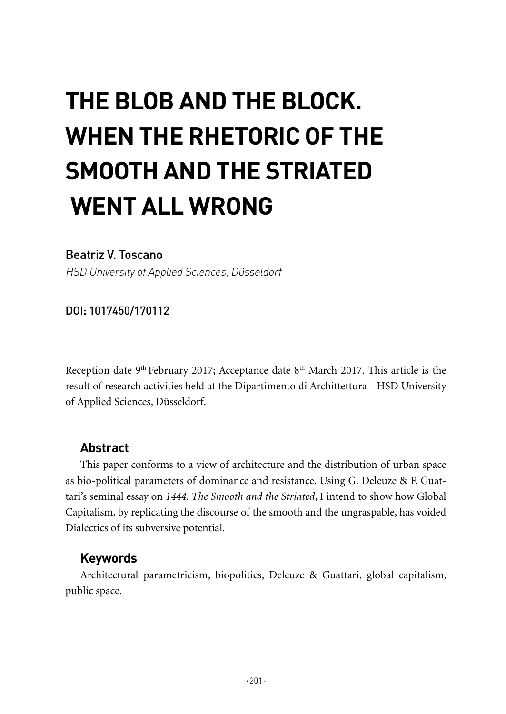# **THE BLOB AND THE BLOCK. WHEN THE RHETORIC OF THE SMOOTH AND THE STRIATED WENT ALL WRONG**

## Beatriz V. Toscano

HSD University of Applied Sciences, Düsseldorf

DOI: 1017450/170112

Reception date 9<sup>th</sup> February 2017; Acceptance date 8<sup>th</sup> March 2017. This article is the result of research activities held at the Dipartimento di Archittettura - HSD University of Applied Sciences, Düsseldorf.

## **Abstract**

This paper conforms to a view of architecture and the distribution of urban space as bio-political parameters of dominance and resistance. Using G. Deleuze & F. Guattari's seminal essay on *1444. The Smooth and the Striated*, I intend to show how Global Capitalism, by replicating the discourse of the smooth and the ungraspable, has voided Dialectics of its subversive potential.

## **Keywords**

Architectural parametricism, biopolitics, Deleuze & Guattari, global capitalism, public space.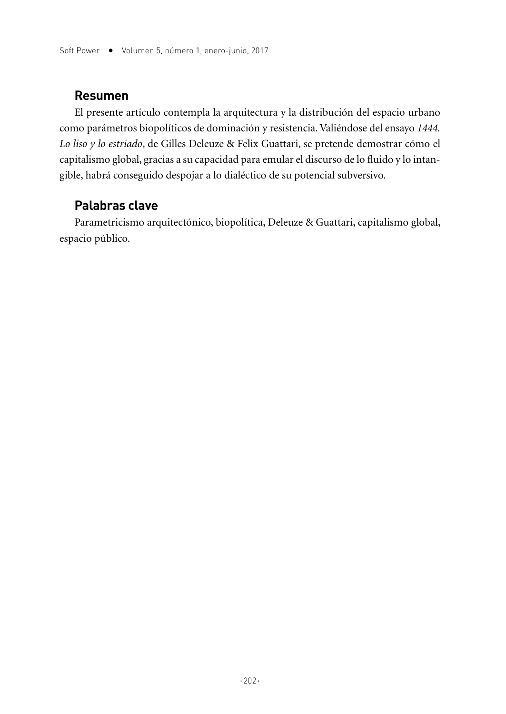#### **Resumen**

El presente artículo contempla la arquitectura y la distribución del espacio urbano como parámetros biopolíticos de dominación y resistencia. Valiéndose del ensayo *1444. Lo liso y lo estriado*, de Gilles Deleuze & Felix Guattari, se pretende demostrar cómo el capitalismo global, gracias a su capacidad para emular el discurso de lo fluido y lo intangible, habrá conseguido despojar a lo dialéctico de su potencial subversivo.

## **Palabras clave**

Parametricismo arquitectónico, biopolítica, Deleuze & Guattari, capitalismo global, espacio público.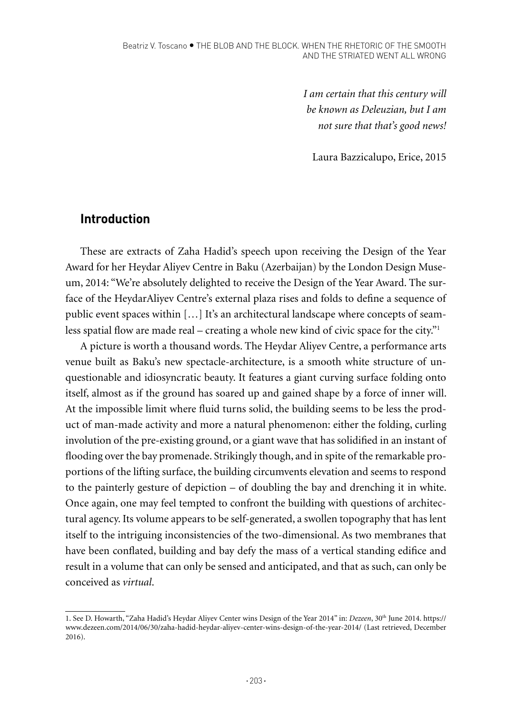*I am certain that this century will be known as Deleuzian, but I am not sure that that's good news!* 

Laura Bazzicalupo, Erice, 2015

## **Introduction**

These are extracts of Zaha Hadid's speech upon receiving the Design of the Year Award for her Heydar Aliyev Centre in Baku (Azerbaijan) by the London Design Museum, 2014: "We're absolutely delighted to receive the Design of the Year Award. The surface of the HeydarAliyev Centre's external plaza rises and folds to define a sequence of public event spaces within […] It's an architectural landscape where concepts of seamless spatial flow are made real – creating a whole new kind of civic space for the city."1

A picture is worth a thousand words. The Heydar Aliyev Centre, a performance arts venue built as Baku's new spectacle-architecture, is a smooth white structure of unquestionable and idiosyncratic beauty. It features a giant curving surface folding onto itself, almost as if the ground has soared up and gained shape by a force of inner will. At the impossible limit where fluid turns solid, the building seems to be less the product of man-made activity and more a natural phenomenon: either the folding, curling involution of the pre-existing ground, or a giant wave that has solidified in an instant of flooding over the bay promenade. Strikingly though, and in spite of the remarkable proportions of the lifting surface, the building circumvents elevation and seems to respond to the painterly gesture of depiction – of doubling the bay and drenching it in white. Once again, one may feel tempted to confront the building with questions of architectural agency. Its volume appears to be self-generated, a swollen topography that has lent itself to the intriguing inconsistencies of the two-dimensional. As two membranes that have been conflated, building and bay defy the mass of a vertical standing edifice and result in a volume that can only be sensed and anticipated, and that as such, can only be conceived as *virtual*.

<sup>1.</sup> See D. Howarth, "Zaha Hadid's Heydar Aliyev Center wins Design of the Year 2014" in: *Dezeen*, 30th June 2014. https:// www.dezeen.com/2014/06/30/zaha-hadid-heydar-aliyev-center-wins-design-of-the-year-2014/ (Last retrieved, December 2016).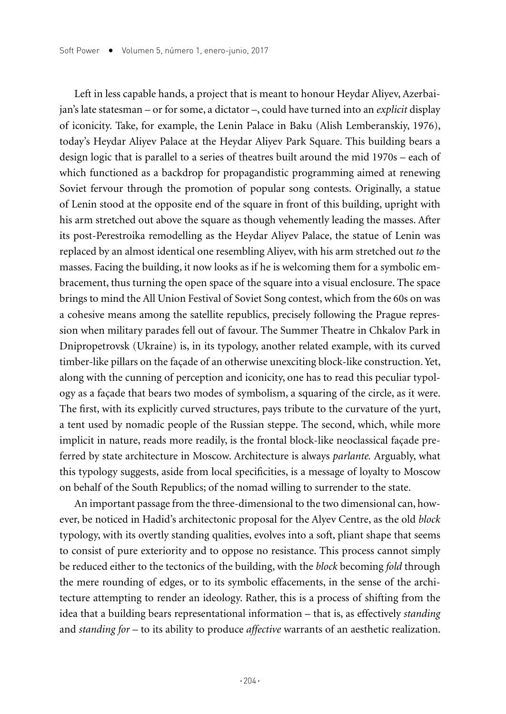Left in less capable hands, a project that is meant to honour Heydar Aliyev, Azerbaijan's late statesman – or for some, a dictator –, could have turned into an *explicit* display of iconicity. Take, for example, the Lenin Palace in Baku (Alish Lemberanskiy, 1976), today's Heydar Aliyev Palace at the Heydar Aliyev Park Square. This building bears a design logic that is parallel to a series of theatres built around the mid 1970s – each of which functioned as a backdrop for propagandistic programming aimed at renewing Soviet fervour through the promotion of popular song contests. Originally, a statue of Lenin stood at the opposite end of the square in front of this building, upright with his arm stretched out above the square as though vehemently leading the masses. After its post-Perestroika remodelling as the Heydar Aliyev Palace, the statue of Lenin was replaced by an almost identical one resembling Aliyev, with his arm stretched out *to* the masses. Facing the building, it now looks as if he is welcoming them for a symbolic embracement, thus turning the open space of the square into a visual enclosure. The space brings to mind the All Union Festival of Soviet Song contest, which from the 60s on was a cohesive means among the satellite republics, precisely following the Prague repression when military parades fell out of favour. The Summer Theatre in Chkalov Park in Dnipropetrovsk (Ukraine) is, in its typology, another related example, with its curved timber-like pillars on the façade of an otherwise unexciting block-like construction. Yet, along with the cunning of perception and iconicity, one has to read this peculiar typology as a façade that bears two modes of symbolism, a squaring of the circle, as it were. The first, with its explicitly curved structures, pays tribute to the curvature of the yurt, a tent used by nomadic people of the Russian steppe. The second, which, while more implicit in nature, reads more readily, is the frontal block-like neoclassical façade preferred by state architecture in Moscow. Architecture is always *parlante.* Arguably, what this typology suggests, aside from local specificities, is a message of loyalty to Moscow on behalf of the South Republics; of the nomad willing to surrender to the state.

An important passage from the three-dimensional to the two dimensional can, however, be noticed in Hadid's architectonic proposal for the Alyev Centre, as the old *block*  typology, with its overtly standing qualities, evolves into a soft, pliant shape that seems to consist of pure exteriority and to oppose no resistance. This process cannot simply be reduced either to the tectonics of the building, with the *block* becoming *fold* through the mere rounding of edges, or to its symbolic effacements, in the sense of the architecture attempting to render an ideology. Rather, this is a process of shifting from the idea that a building bears representational information – that is, as effectively *standing* and *standing for* – to its ability to produce *affective* warrants of an aesthetic realization.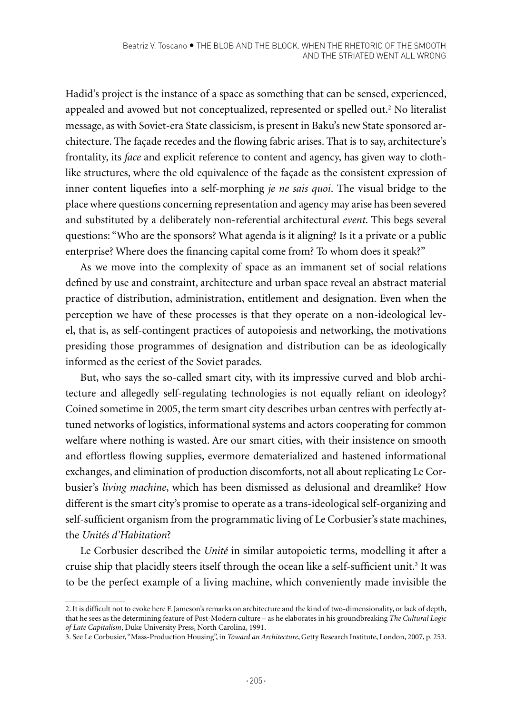Hadid's project is the instance of a space as something that can be sensed, experienced, appealed and avowed but not conceptualized, represented or spelled out.2 No literalist message, as with Soviet-era State classicism, is present in Baku's new State sponsored architecture. The façade recedes and the flowing fabric arises. That is to say, architecture's frontality, its *face* and explicit reference to content and agency, has given way to clothlike structures, where the old equivalence of the façade as the consistent expression of inner content liquefies into a self-morphing *je ne sais quoi*. The visual bridge to the place where questions concerning representation and agency may arise has been severed and substituted by a deliberately non-referential architectural *event*. This begs several questions: "Who are the sponsors? What agenda is it aligning? Is it a private or a public enterprise? Where does the financing capital come from? To whom does it speak?"

As we move into the complexity of space as an immanent set of social relations defined by use and constraint, architecture and urban space reveal an abstract material practice of distribution, administration, entitlement and designation. Even when the perception we have of these processes is that they operate on a non-ideological level, that is, as self-contingent practices of autopoiesis and networking, the motivations presiding those programmes of designation and distribution can be as ideologically informed as the eeriest of the Soviet parades*.* 

But, who says the so-called smart city, with its impressive curved and blob architecture and allegedly self-regulating technologies is not equally reliant on ideology? Coined sometime in 2005, the term smart city describes urban centres with perfectly attuned networks of logistics, informational systems and actors cooperating for common welfare where nothing is wasted. Are our smart cities, with their insistence on smooth and effortless flowing supplies, evermore dematerialized and hastened informational exchanges, and elimination of production discomforts, not all about replicating Le Corbusier's *living machine*, which has been dismissed as delusional and dreamlike? How different is the smart city's promise to operate as a trans-ideological self-organizing and self-sufficient organism from the programmatic living of Le Corbusier's state machines, the *Unités d'Habitation*?

Le Corbusier described the *Unité* in similar autopoietic terms, modelling it after a cruise ship that placidly steers itself through the ocean like a self-sufficient unit.<sup>3</sup> It was to be the perfect example of a living machine, which conveniently made invisible the

<sup>2.</sup> It is difficult not to evoke here F. Jameson's remarks on architecture and the kind of two-dimensionality, or lack of depth, that he sees as the determining feature of Post-Modern culture – as he elaborates in his groundbreaking *The Cultural Logic of Late Capitalism*, Duke University Press, North Carolina, 1991.

<sup>3.</sup> See Le Corbusier, "Mass-Production Housing", in *Toward an Architecture*, Getty Research Institute, London, 2007, p. 253.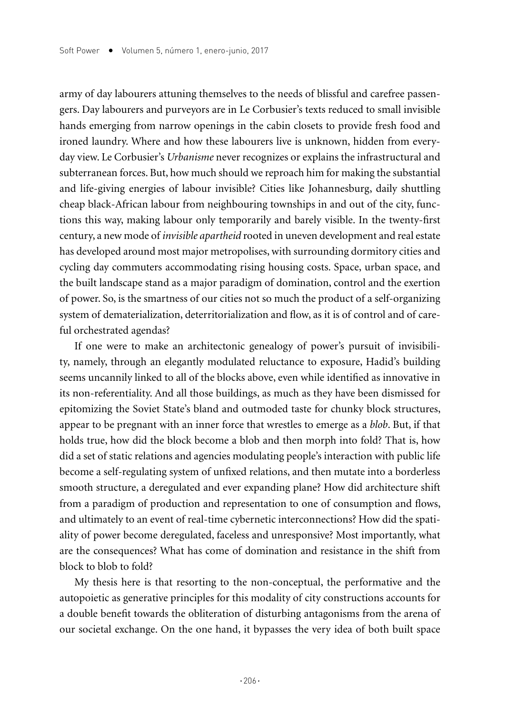army of day labourers attuning themselves to the needs of blissful and carefree passengers. Day labourers and purveyors are in Le Corbusier's texts reduced to small invisible hands emerging from narrow openings in the cabin closets to provide fresh food and ironed laundry. Where and how these labourers live is unknown, hidden from everyday view. Le Corbusier's *Urbanisme* never recognizes or explains the infrastructural and subterranean forces. But, how much should we reproach him for making the substantial and life-giving energies of labour invisible? Cities like Johannesburg, daily shuttling cheap black-African labour from neighbouring townships in and out of the city, functions this way, making labour only temporarily and barely visible. In the twenty-first century, a new mode of *invisible apartheid* rooted in uneven development and real estate has developed around most major metropolises, with surrounding dormitory cities and cycling day commuters accommodating rising housing costs. Space, urban space, and the built landscape stand as a major paradigm of domination, control and the exertion of power. So, is the smartness of our cities not so much the product of a self-organizing system of dematerialization, deterritorialization and flow, as it is of control and of careful orchestrated agendas?

If one were to make an architectonic genealogy of power's pursuit of invisibility, namely, through an elegantly modulated reluctance to exposure, Hadid's building seems uncannily linked to all of the blocks above, even while identified as innovative in its non-referentiality. And all those buildings, as much as they have been dismissed for epitomizing the Soviet State's bland and outmoded taste for chunky block structures, appear to be pregnant with an inner force that wrestles to emerge as a *blob*. But, if that holds true, how did the block become a blob and then morph into fold? That is, how did a set of static relations and agencies modulating people's interaction with public life become a self-regulating system of unfixed relations, and then mutate into a borderless smooth structure, a deregulated and ever expanding plane? How did architecture shift from a paradigm of production and representation to one of consumption and flows, and ultimately to an event of real-time cybernetic interconnections? How did the spatiality of power become deregulated, faceless and unresponsive? Most importantly, what are the consequences? What has come of domination and resistance in the shift from block to blob to fold?

My thesis here is that resorting to the non-conceptual, the performative and the autopoietic as generative principles for this modality of city constructions accounts for a double benefit towards the obliteration of disturbing antagonisms from the arena of our societal exchange. On the one hand, it bypasses the very idea of both built space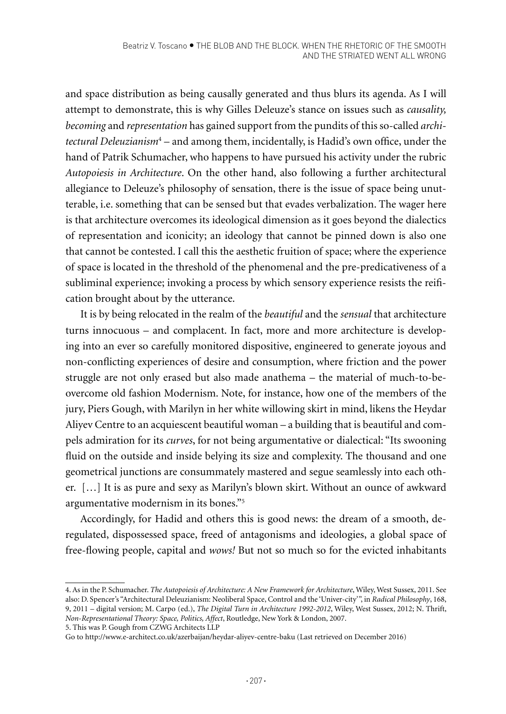and space distribution as being causally generated and thus blurs its agenda. As I will attempt to demonstrate, this is why Gilles Deleuze's stance on issues such as *causality, becoming* and *representation* has gained support from the pundits of this so-called *architectural Deleuzianism*<sup>4</sup> – and among them, incidentally, is Hadid's own office, under the hand of Patrik Schumacher, who happens to have pursued his activity under the rubric *Autopoiesis in Architecture*. On the other hand, also following a further architectural allegiance to Deleuze's philosophy of sensation, there is the issue of space being unutterable, i.e. something that can be sensed but that evades verbalization. The wager here is that architecture overcomes its ideological dimension as it goes beyond the dialectics of representation and iconicity; an ideology that cannot be pinned down is also one that cannot be contested. I call this the aesthetic fruition of space; where the experience of space is located in the threshold of the phenomenal and the pre-predicativeness of a subliminal experience; invoking a process by which sensory experience resists the reification brought about by the utterance.

It is by being relocated in the realm of the *beautiful* and the *sensual* that architecture turns innocuous – and complacent. In fact, more and more architecture is developing into an ever so carefully monitored dispositive, engineered to generate joyous and non-conflicting experiences of desire and consumption, where friction and the power struggle are not only erased but also made anathema – the material of much-to-beovercome old fashion Modernism. Note, for instance, how one of the members of the jury, Piers Gough, with Marilyn in her white willowing skirt in mind, likens the Heydar Aliyev Centre to an acquiescent beautiful woman – a building that is beautiful and compels admiration for its *curves*, for not being argumentative or dialectical: "Its swooning fluid on the outside and inside belying its size and complexity. The thousand and one geometrical junctions are consummately mastered and segue seamlessly into each other. […] It is as pure and sexy as Marilyn's blown skirt. Without an ounce of awkward argumentative modernism in its bones."5

Accordingly, for Hadid and others this is good news: the dream of a smooth, deregulated, dispossessed space, freed of antagonisms and ideologies, a global space of free-flowing people, capital and *wows!* But not so much so for the evicted inhabitants

5. This was P. Gough from CZWG Architects LLP

<sup>4.</sup> As in the P. Schumacher. *The Autopoiesis of Architecture: A New Framework for Architecture*, Wiley, West Sussex, 2011. See also: D. Spencer's "Architectural Deleuzianism: Neoliberal Space, Control and the 'Univer-city'", in *Radical Philosophy*, 168, 9, 2011 – digital version; M. Carpo (ed.), *The Digital Turn in Architecture 1992-2012*, Wiley, West Sussex, 2012; N. Thrift, *Non-Representational Theory: Space, Politics, Affect*, Routledge, New York & London, 2007.

Go to http://www.e-architect.co.uk/azerbaijan/heydar-aliyev-centre-baku (Last retrieved on December 2016)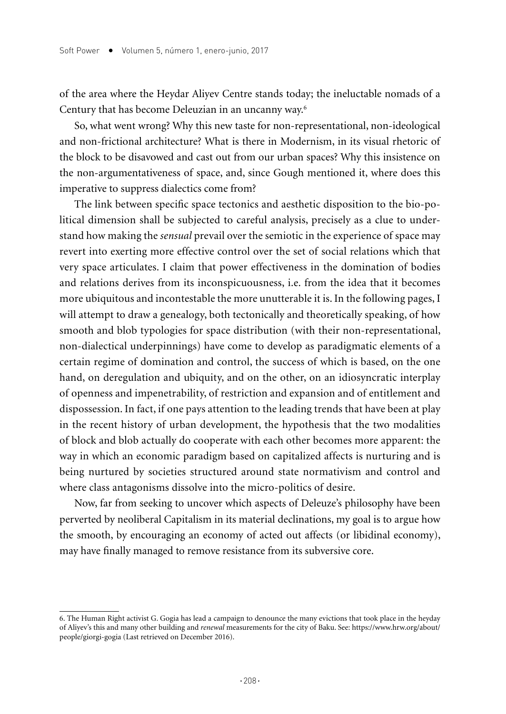of the area where the Heydar Aliyev Centre stands today; the ineluctable nomads of a Century that has become Deleuzian in an uncanny way.6

So, what went wrong? Why this new taste for non-representational, non-ideological and non-frictional architecture? What is there in Modernism, in its visual rhetoric of the block to be disavowed and cast out from our urban spaces? Why this insistence on the non-argumentativeness of space, and, since Gough mentioned it, where does this imperative to suppress dialectics come from?

The link between specific space tectonics and aesthetic disposition to the bio-political dimension shall be subjected to careful analysis, precisely as a clue to understand how making the *sensual* prevail over the semiotic in the experience of space may revert into exerting more effective control over the set of social relations which that very space articulates. I claim that power effectiveness in the domination of bodies and relations derives from its inconspicuousness, i.e. from the idea that it becomes more ubiquitous and incontestable the more unutterable it is. In the following pages, I will attempt to draw a genealogy, both tectonically and theoretically speaking, of how smooth and blob typologies for space distribution (with their non-representational, non-dialectical underpinnings) have come to develop as paradigmatic elements of a certain regime of domination and control, the success of which is based, on the one hand, on deregulation and ubiquity, and on the other, on an idiosyncratic interplay of openness and impenetrability, of restriction and expansion and of entitlement and dispossession. In fact, if one pays attention to the leading trends that have been at play in the recent history of urban development, the hypothesis that the two modalities of block and blob actually do cooperate with each other becomes more apparent: the way in which an economic paradigm based on capitalized affects is nurturing and is being nurtured by societies structured around state normativism and control and where class antagonisms dissolve into the micro-politics of desire.

Now, far from seeking to uncover which aspects of Deleuze's philosophy have been perverted by neoliberal Capitalism in its material declinations, my goal is to argue how the smooth, by encouraging an economy of acted out affects (or libidinal economy), may have finally managed to remove resistance from its subversive core.

<sup>6.</sup> The Human Right activist G. Gogia has lead a campaign to denounce the many evictions that took place in the heyday of Aliyev's this and many other building and *renewal* measurements for the city of Baku. See: https://www.hrw.org/about/ people/giorgi-gogia (Last retrieved on December 2016).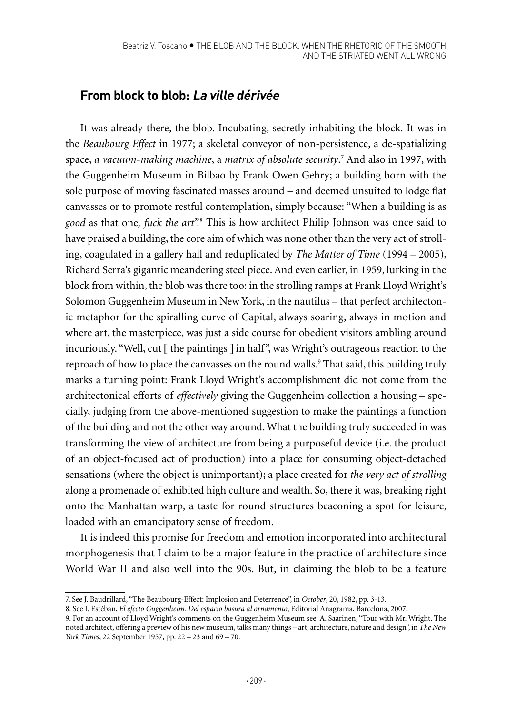## **From block to blob: La ville dérivée**

It was already there, the blob. Incubating, secretly inhabiting the block. It was in the *Beaubourg Effect* in 1977; a skeletal conveyor of non-persistence, a de-spatializing space, *a vacuum-making machine*, a *matrix of absolute security*. 7 And also in 1997, with the Guggenheim Museum in Bilbao by Frank Owen Gehry; a building born with the sole purpose of moving fascinated masses around – and deemed unsuited to lodge flat canvasses or to promote restful contemplation, simply because: "When a building is as *good* as that one*, fuck the art".*<sup>8</sup> This is how architect Philip Johnson was once said to have praised a building, the core aim of which was none other than the very act of strolling, coagulated in a gallery hall and reduplicated by *The Matter of Time* (1994 – 2005), Richard Serra's gigantic meandering steel piece. And even earlier, in 1959, lurking in the block from within, the blob was there too: in the strolling ramps at Frank Lloyd Wright's Solomon Guggenheim Museum in New York, in the nautilus – that perfect architectonic metaphor for the spiralling curve of Capital, always soaring, always in motion and where art, the masterpiece, was just a side course for obedient visitors ambling around incuriously. "Well, cut [ the paintings ] in half", was Wright's outrageous reaction to the reproach of how to place the canvasses on the round walls.<sup>9</sup> That said, this building truly marks a turning point: Frank Lloyd Wright's accomplishment did not come from the architectonical efforts of *effectively* giving the Guggenheim collection a housing – specially, judging from the above-mentioned suggestion to make the paintings a function of the building and not the other way around. What the building truly succeeded in was transforming the view of architecture from being a purposeful device (i.e. the product of an object-focused act of production) into a place for consuming object-detached sensations (where the object is unimportant); a place created for *the very act of strolling* along a promenade of exhibited high culture and wealth. So, there it was, breaking right onto the Manhattan warp, a taste for round structures beaconing a spot for leisure, loaded with an emancipatory sense of freedom.

It is indeed this promise for freedom and emotion incorporated into architectural morphogenesis that I claim to be a major feature in the practice of architecture since World War II and also well into the 90s. But, in claiming the blob to be a feature

<sup>7.</sup>See J. Baudrillard, "The Beaubourg-Effect: Implosion and Deterrence", in *October*, 20, 1982, pp. 3-13.

<sup>8.</sup> See I. Estéban, *El efecto Guggenheim. Del espacio basura al ornamento*, Editorial Anagrama, Barcelona, 2007.

<sup>9.</sup> For an account of Lloyd Wright's comments on the Guggenheim Museum see: A. Saarinen, "Tour with Mr. Wright. The noted architect, offering a preview of his new museum, talks many things – art, architecture, nature and design", in *The New York Times*, 22 September 1957, pp. 22 – 23 and 69 – 70.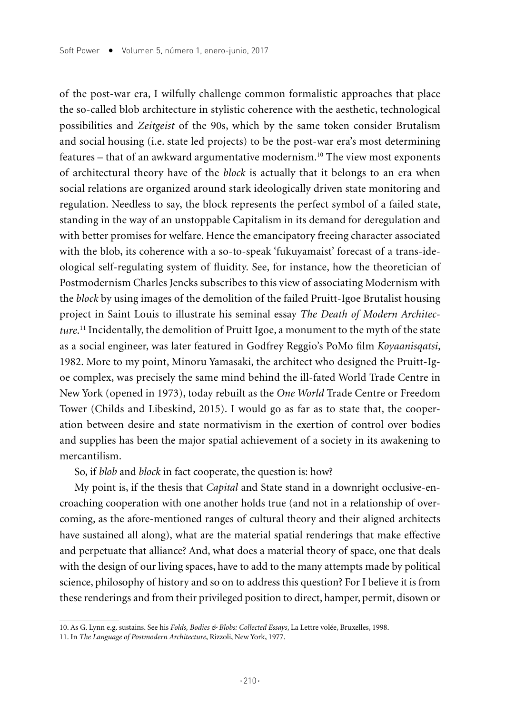of the post-war era, I wilfully challenge common formalistic approaches that place the so-called blob architecture in stylistic coherence with the aesthetic, technological possibilities and *Zeitgeist* of the 90s, which by the same token consider Brutalism and social housing (i.e. state led projects) to be the post-war era's most determining features – that of an awkward argumentative modernism.10 The view most exponents of architectural theory have of the *block* is actually that it belongs to an era when social relations are organized around stark ideologically driven state monitoring and regulation. Needless to say, the block represents the perfect symbol of a failed state, standing in the way of an unstoppable Capitalism in its demand for deregulation and with better promises for welfare. Hence the emancipatory freeing character associated with the blob, its coherence with a so-to-speak 'fukuyamaist' forecast of a trans-ideological self-regulating system of fluidity. See, for instance, how the theoretician of Postmodernism Charles Jencks subscribes to this view of associating Modernism with the *block* by using images of the demolition of the failed Pruitt-Igoe Brutalist housing project in Saint Louis to illustrate his seminal essay *The Death of Modern Architecture*. 11 Incidentally, the demolition of Pruitt Igoe, a monument to the myth of the state as a social engineer, was later featured in Godfrey Reggio's PoMo film *Koyaanisqatsi*, 1982. More to my point, Minoru Yamasaki, the architect who designed the Pruitt-Igoe complex, was precisely the same mind behind the ill-fated World Trade Centre in New York (opened in 1973), today rebuilt as the *One World* Trade Centre or Freedom Tower (Childs and Libeskind, 2015). I would go as far as to state that, the cooperation between desire and state normativism in the exertion of control over bodies and supplies has been the major spatial achievement of a society in its awakening to mercantilism.

So, if *blob* and *block* in fact cooperate, the question is: how?

My point is, if the thesis that *Capital* and State stand in a downright occlusive-encroaching cooperation with one another holds true (and not in a relationship of overcoming, as the afore-mentioned ranges of cultural theory and their aligned architects have sustained all along), what are the material spatial renderings that make effective and perpetuate that alliance? And, what does a material theory of space, one that deals with the design of our living spaces, have to add to the many attempts made by political science, philosophy of history and so on to address this question? For I believe it is from these renderings and from their privileged position to direct, hamper, permit, disown or

<sup>10.</sup> As G. Lynn e.g. sustains. See his *Folds, Bodies & Blobs: Collected Essays*, La Lettre volée, Bruxelles, 1998.

<sup>11.</sup> In *The Language of Postmodern Architecture*, Rizzoli, New York, 1977.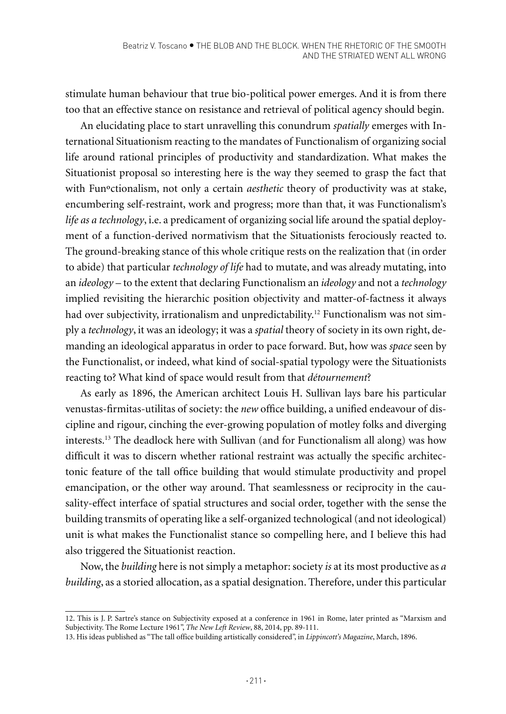stimulate human behaviour that true bio-political power emerges. And it is from there too that an effective stance on resistance and retrieval of political agency should begin.

An elucidating place to start unravelling this conundrum *spatially* emerges with International Situationism reacting to the mandates of Functionalism of organizing social life around rational principles of productivity and standardization. What makes the Situationist proposal so interesting here is the way they seemed to grasp the fact that with Funºctionalism, not only a certain *aesthetic* theory of productivity was at stake, encumbering self-restraint, work and progress; more than that, it was Functionalism's *life as a technology*, i.e. a predicament of organizing social life around the spatial deployment of a function-derived normativism that the Situationists ferociously reacted to. The ground-breaking stance of this whole critique rests on the realization that (in order to abide) that particular *technology of life* had to mutate, and was already mutating, into an *ideology* – to the extent that declaring Functionalism an *ideology* and not a *technology* implied revisiting the hierarchic position objectivity and matter-of-factness it always had over subjectivity, irrationalism and unpredictability.<sup>12</sup> Functionalism was not simply a *technology*, it was an ideology; it was a *spatial* theory of society in its own right, demanding an ideological apparatus in order to pace forward. But, how was *space* seen by the Functionalist, or indeed, what kind of social-spatial typology were the Situationists reacting to? What kind of space would result from that *détournement*?

As early as 1896, the American architect Louis H. Sullivan lays bare his particular venustas-firmitas-utilitas of society: the *new* office building, a unified endeavour of discipline and rigour, cinching the ever-growing population of motley folks and diverging interests.13 The deadlock here with Sullivan (and for Functionalism all along) was how difficult it was to discern whether rational restraint was actually the specific architectonic feature of the tall office building that would stimulate productivity and propel emancipation, or the other way around. That seamlessness or reciprocity in the causality-effect interface of spatial structures and social order, together with the sense the building transmits of operating like a self-organized technological (and not ideological) unit is what makes the Functionalist stance so compelling here, and I believe this had also triggered the Situationist reaction.

Now, the *building* here is not simply a metaphor: society *is* at its most productive as *a building*, as a storied allocation, as a spatial designation. Therefore, under this particular

<sup>12.</sup> This is J. P. Sartre's stance on Subjectivity exposed at a conference in 1961 in Rome, later printed as "Marxism and Subjectivity. The Rome Lecture 1961", *The New Left Review*, 88, 2014, pp. 89-111.

<sup>13.</sup> His ideas published as "The tall office building artistically considered", in *Lippincott's Magazine*, March, 1896.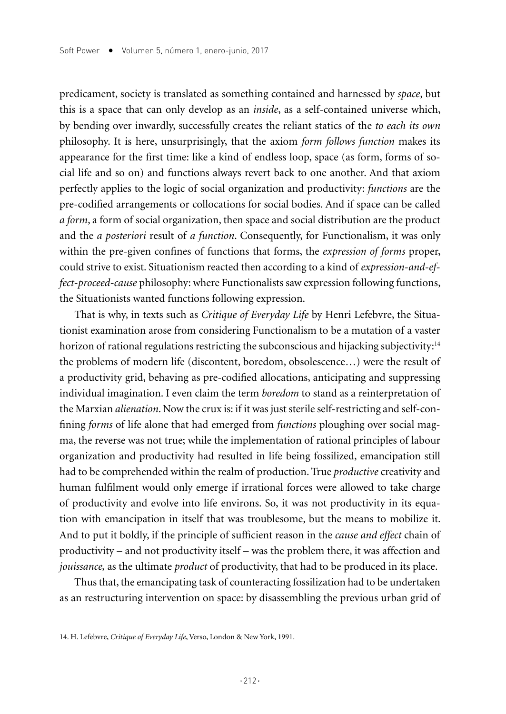predicament, society is translated as something contained and harnessed by *space*, but this is a space that can only develop as an *inside*, as a self-contained universe which, by bending over inwardly, successfully creates the reliant statics of the *to each its own* philosophy. It is here, unsurprisingly, that the axiom *form follows function* makes its appearance for the first time: like a kind of endless loop, space (as form, forms of social life and so on) and functions always revert back to one another. And that axiom perfectly applies to the logic of social organization and productivity: *functions* are the pre-codified arrangements or collocations for social bodies. And if space can be called *a form*, a form of social organization, then space and social distribution are the product and the *a posteriori* result of *a function*. Consequently, for Functionalism, it was only within the pre-given confines of functions that forms, the *expression of forms* proper, could strive to exist. Situationism reacted then according to a kind of *expression-and-effect-proceed-cause* philosophy: where Functionalists saw expression following functions, the Situationists wanted functions following expression.

That is why, in texts such as *Critique of Everyday Life* by Henri Lefebvre, the Situationist examination arose from considering Functionalism to be a mutation of a vaster horizon of rational regulations restricting the subconscious and hijacking subjectivity:<sup>14</sup> the problems of modern life (discontent, boredom, obsolescence…) were the result of a productivity grid, behaving as pre-codified allocations, anticipating and suppressing individual imagination. I even claim the term *boredom* to stand as a reinterpretation of the Marxian *alienation*. Now the crux is: if it was just sterile self-restricting and self-confining *forms* of life alone that had emerged from *functions* ploughing over social magma, the reverse was not true; while the implementation of rational principles of labour organization and productivity had resulted in life being fossilized, emancipation still had to be comprehended within the realm of production. True *productive* creativity and human fulfilment would only emerge if irrational forces were allowed to take charge of productivity and evolve into life environs. So, it was not productivity in its equation with emancipation in itself that was troublesome, but the means to mobilize it. And to put it boldly, if the principle of sufficient reason in the *cause and effect* chain of productivity – and not productivity itself – was the problem there, it was affection and *jouissance,* as the ultimate *product* of productivity, that had to be produced in its place.

Thus that, the emancipating task of counteracting fossilization had to be undertaken as an restructuring intervention on space: by disassembling the previous urban grid of

<sup>14.</sup> H. Lefebvre, *Critique of Everyday Life*, Verso, London & New York, 1991.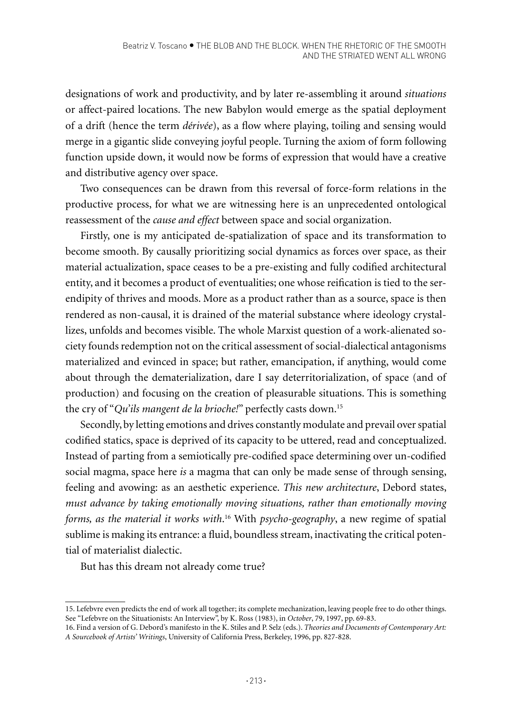designations of work and productivity, and by later re-assembling it around *situations* or affect-paired locations. The new Babylon would emerge as the spatial deployment of a drift (hence the term *dérivée*), as a flow where playing, toiling and sensing would merge in a gigantic slide conveying joyful people. Turning the axiom of form following function upside down, it would now be forms of expression that would have a creative and distributive agency over space.

Two consequences can be drawn from this reversal of force-form relations in the productive process, for what we are witnessing here is an unprecedented ontological reassessment of the *cause and effect* between space and social organization.

Firstly, one is my anticipated de-spatialization of space and its transformation to become smooth. By causally prioritizing social dynamics as forces over space, as their material actualization, space ceases to be a pre-existing and fully codified architectural entity, and it becomes a product of eventualities; one whose reification is tied to the serendipity of thrives and moods. More as a product rather than as a source, space is then rendered as non-causal, it is drained of the material substance where ideology crystallizes, unfolds and becomes visible. The whole Marxist question of a work-alienated society founds redemption not on the critical assessment of social-dialectical antagonisms materialized and evinced in space; but rather, emancipation, if anything, would come about through the dematerialization, dare I say deterritorialization, of space (and of production) and focusing on the creation of pleasurable situations. This is something the cry of "*Qu'ils mangent de la brioche!*" perfectly casts down.15

Secondly, by letting emotions and drives constantly modulate and prevail over spatial codified statics, space is deprived of its capacity to be uttered, read and conceptualized. Instead of parting from a semiotically pre-codified space determining over un-codified social magma, space here *is* a magma that can only be made sense of through sensing, feeling and avowing: as an aesthetic experience. *This new architecture*, Debord states, *must advance by taking emotionally moving situations, rather than emotionally moving forms, as the material it works with*. 16 With *psycho-geography*, a new regime of spatial sublime is making its entrance: a fluid, boundless stream, inactivating the critical potential of materialist dialectic.

But has this dream not already come true?

<sup>15.</sup> Lefebvre even predicts the end of work all together; its complete mechanization, leaving people free to do other things. See "Lefebvre on the Situationists: An Interview", by K. Ross (1983), in *October*, 79, 1997, pp. 69-83.

<sup>16.</sup> Find a version of G. Debord's manifesto in the K. Stiles and P. Selz (eds.). *Theories and Documents of Contemporary Art: A Sourcebook of Artists' Writings*, University of California Press, Berkeley, 1996, pp. 827-828.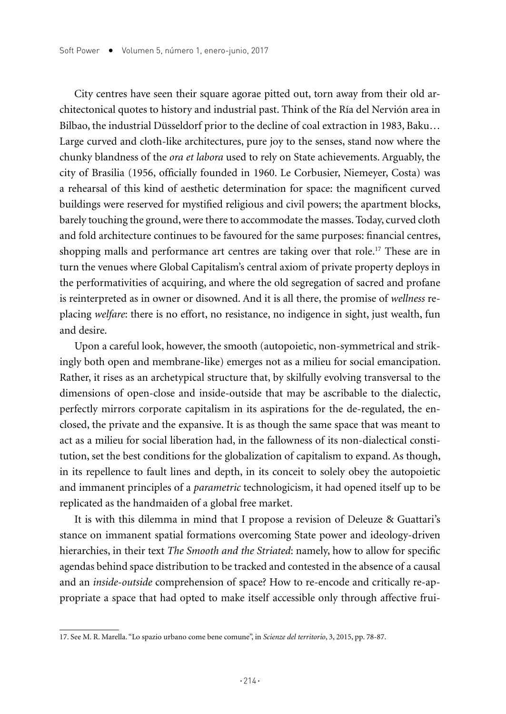City centres have seen their square agorae pitted out, torn away from their old architectonical quotes to history and industrial past. Think of the Ría del Nervión area in Bilbao, the industrial Düsseldorf prior to the decline of coal extraction in 1983, Baku… Large curved and cloth-like architectures, pure joy to the senses, stand now where the chunky blandness of the *ora et labora* used to rely on State achievements. Arguably, the city of Brasilia (1956, officially founded in 1960. Le Corbusier, Niemeyer, Costa) was a rehearsal of this kind of aesthetic determination for space: the magnificent curved buildings were reserved for mystified religious and civil powers; the apartment blocks, barely touching the ground, were there to accommodate the masses. Today, curved cloth and fold architecture continues to be favoured for the same purposes: financial centres, shopping malls and performance art centres are taking over that role.<sup>17</sup> These are in turn the venues where Global Capitalism's central axiom of private property deploys in the performativities of acquiring, and where the old segregation of sacred and profane is reinterpreted as in owner or disowned. And it is all there, the promise of *wellness* replacing *welfare*: there is no effort, no resistance, no indigence in sight, just wealth, fun and desire.

Upon a careful look, however, the smooth (autopoietic, non-symmetrical and strikingly both open and membrane-like) emerges not as a milieu for social emancipation. Rather, it rises as an archetypical structure that, by skilfully evolving transversal to the dimensions of open-close and inside-outside that may be ascribable to the dialectic, perfectly mirrors corporate capitalism in its aspirations for the de-regulated, the enclosed, the private and the expansive. It is as though the same space that was meant to act as a milieu for social liberation had, in the fallowness of its non-dialectical constitution, set the best conditions for the globalization of capitalism to expand. As though, in its repellence to fault lines and depth, in its conceit to solely obey the autopoietic and immanent principles of a *parametric* technologicism, it had opened itself up to be replicated as the handmaiden of a global free market.

It is with this dilemma in mind that I propose a revision of Deleuze & Guattari's stance on immanent spatial formations overcoming State power and ideology-driven hierarchies, in their text *The Smooth and the Striated*: namely, how to allow for specific agendas behind space distribution to be tracked and contested in the absence of a causal and an *inside-outside* comprehension of space? How to re-encode and critically re-appropriate a space that had opted to make itself accessible only through affective frui-

<sup>17.</sup> See M. R. Marella. "Lo spazio urbano come bene comune", in *Scienze del territorio*, 3, 2015, pp. 78-87.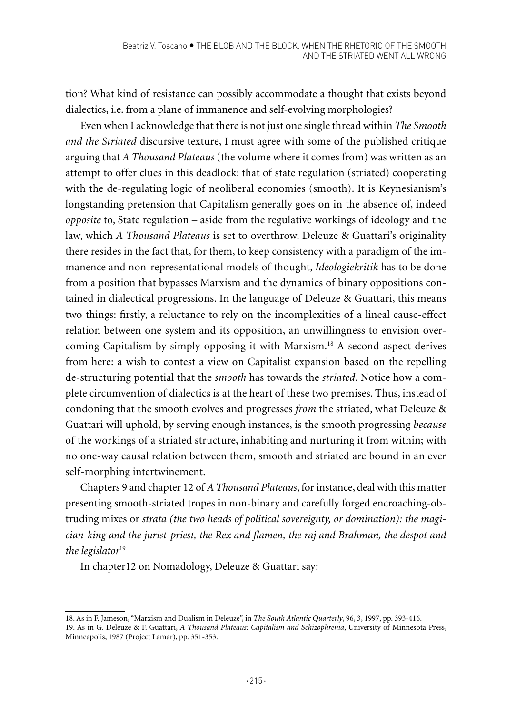tion? What kind of resistance can possibly accommodate a thought that exists beyond dialectics, i.e. from a plane of immanence and self-evolving morphologies?

Even when I acknowledge that there is not just one single thread within *The Smooth and the Striated* discursive texture, I must agree with some of the published critique arguing that *A Thousand Plateaus* (the volume where it comes from) was written as an attempt to offer clues in this deadlock: that of state regulation (striated) cooperating with the de-regulating logic of neoliberal economies (smooth). It is Keynesianism's longstanding pretension that Capitalism generally goes on in the absence of, indeed *opposite* to, State regulation – aside from the regulative workings of ideology and the law, which *A Thousand Plateaus* is set to overthrow. Deleuze & Guattari's originality there resides in the fact that, for them, to keep consistency with a paradigm of the immanence and non-representational models of thought, *Ideologiekritik* has to be done from a position that bypasses Marxism and the dynamics of binary oppositions contained in dialectical progressions. In the language of Deleuze & Guattari, this means two things: firstly, a reluctance to rely on the incomplexities of a lineal cause-effect relation between one system and its opposition, an unwillingness to envision overcoming Capitalism by simply opposing it with Marxism.18 A second aspect derives from here: a wish to contest a view on Capitalist expansion based on the repelling de-structuring potential that the *smooth* has towards the *striated*. Notice how a complete circumvention of dialectics is at the heart of these two premises. Thus, instead of condoning that the smooth evolves and progresses *from* the striated, what Deleuze & Guattari will uphold, by serving enough instances, is the smooth progressing *because* of the workings of a striated structure, inhabiting and nurturing it from within; with no one-way causal relation between them, smooth and striated are bound in an ever self-morphing intertwinement.

Chapters 9 and chapter 12 of *A Thousand Plateaus*, for instance, deal with this matter presenting smooth-striated tropes in non-binary and carefully forged encroaching-obtruding mixes or *strata (the two heads of political sovereignty, or domination): the magician-king and the jurist-priest, the Rex and flamen, the raj and Brahman, the despot and the legislator*<sup>19</sup>

In chapter12 on Nomadology, Deleuze & Guattari say:

<sup>18.</sup> As in F. Jameson, "Marxism and Dualism in Deleuze", in *The South Atlantic Quarterly*, 96, 3, 1997, pp. 393-416. 19. As in G. Deleuze & F. Guattari, *A Thousand Plateaus: Capitalism and Schizophrenia*, University of Minnesota Press, Minneapolis, 1987 (Project Lamar), pp. 351-353.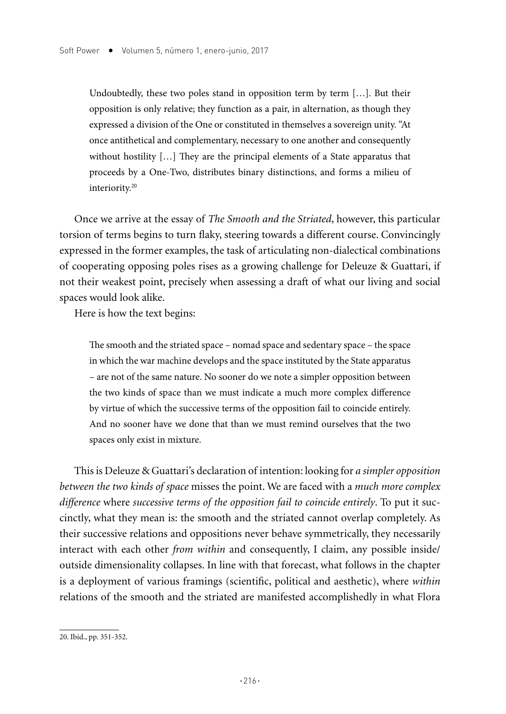Undoubtedly, these two poles stand in opposition term by term [...]. But their opposition is only relative; they function as a pair, in alternation, as though they expressed a division of the One or constituted in themselves a sovereign unity. "At once antithetical and complementary, necessary to one another and consequently without hostility […] They are the principal elements of a State apparatus that proceeds by a One-Two, distributes binary distinctions, and forms a milieu of interiority.20

Once we arrive at the essay of *The Smooth and the Striated*, however, this particular torsion of terms begins to turn flaky, steering towards a different course. Convincingly expressed in the former examples, the task of articulating non-dialectical combinations of cooperating opposing poles rises as a growing challenge for Deleuze & Guattari, if not their weakest point, precisely when assessing a draft of what our living and social spaces would look alike.

Here is how the text begins:

The smooth and the striated space – nomad space and sedentary space – the space in which the war machine develops and the space instituted by the State apparatus – are not of the same nature. No sooner do we note a simpler opposition between the two kinds of space than we must indicate a much more complex difference by virtue of which the successive terms of the opposition fail to coincide entirely. And no sooner have we done that than we must remind ourselves that the two spaces only exist in mixture.

This is Deleuze & Guattari's declaration of intention: looking for *a simpler opposition between the two kinds of space* misses the point. We are faced with a *much more complex difference* where *successive terms of the opposition fail to coincide entirely*. To put it succinctly, what they mean is: the smooth and the striated cannot overlap completely. As their successive relations and oppositions never behave symmetrically, they necessarily interact with each other *from within* and consequently, I claim, any possible inside/ outside dimensionality collapses. In line with that forecast, what follows in the chapter is a deployment of various framings (scientific, political and aesthetic), where *within* relations of the smooth and the striated are manifested accomplishedly in what Flora

<sup>20.</sup> Ibid., pp. 351-352.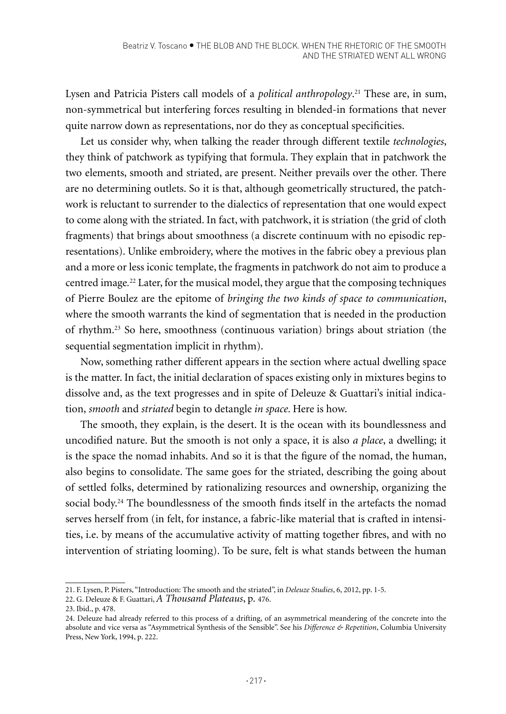Lysen and Patricia Pisters call models of a *political anthropology*. 21 These are, in sum, non-symmetrical but interfering forces resulting in blended-in formations that never quite narrow down as representations, nor do they as conceptual specificities.

Let us consider why, when talking the reader through different textile *technologies*, they think of patchwork as typifying that formula. They explain that in patchwork the two elements, smooth and striated, are present. Neither prevails over the other. There are no determining outlets. So it is that, although geometrically structured, the patchwork is reluctant to surrender to the dialectics of representation that one would expect to come along with the striated. In fact, with patchwork, it is striation (the grid of cloth fragments) that brings about smoothness (a discrete continuum with no episodic representations). Unlike embroidery, where the motives in the fabric obey a previous plan and a more or less iconic template, the fragments in patchwork do not aim to produce a centred image*.* <sup>22</sup> Later, for the musical model, they argue that the composing techniques of Pierre Boulez are the epitome of *bringing the two kinds of space to communication*, where the smooth warrants the kind of segmentation that is needed in the production of rhythm.23 So here, smoothness (continuous variation) brings about striation (the sequential segmentation implicit in rhythm).

Now, something rather different appears in the section where actual dwelling space is the matter. In fact, the initial declaration of spaces existing only in mixtures begins to dissolve and, as the text progresses and in spite of Deleuze & Guattari's initial indication, *smooth* and *striated* begin to detangle *in space*. Here is how.

The smooth, they explain, is the desert. It is the ocean with its boundlessness and uncodified nature. But the smooth is not only a space, it is also *a place*, a dwelling; it is the space the nomad inhabits. And so it is that the figure of the nomad, the human, also begins to consolidate. The same goes for the striated, describing the going about of settled folks, determined by rationalizing resources and ownership, organizing the social body.<sup>24</sup> The boundlessness of the smooth finds itself in the artefacts the nomad serves herself from (in felt, for instance, a fabric-like material that is crafted in intensities, i.e. by means of the accumulative activity of matting together fibres, and with no intervention of striating looming). To be sure, felt is what stands between the human

<sup>21.</sup> F. Lysen, P. Pisters, "Introduction: The smooth and the striated", in *Deleuze Studies*, 6, 2012, pp. 1-5.

<sup>22.</sup> G. Deleuze & F. Guattari, *A Thousand Plateaus*, p. 476.

<sup>23.</sup> Ibid., p. 478.

<sup>24.</sup> Deleuze had already referred to this process of a drifting, of an asymmetrical meandering of the concrete into the absolute and vice versa as "Asymmetrical Synthesis of the Sensible". See his *Difference & Repetition*, Columbia University Press, New York, 1994, p. 222.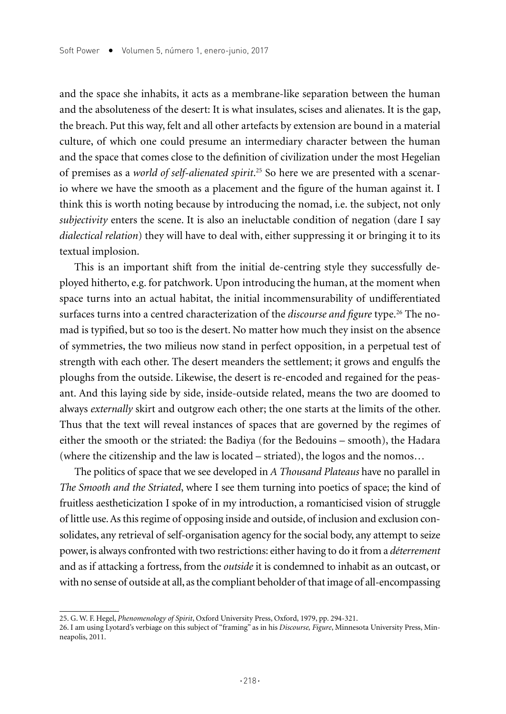and the space she inhabits, it acts as a membrane-like separation between the human and the absoluteness of the desert: It is what insulates, scises and alienates. It is the gap, the breach. Put this way, felt and all other artefacts by extension are bound in a material culture, of which one could presume an intermediary character between the human and the space that comes close to the definition of civilization under the most Hegelian of premises as a *world of self-alienated spirit*. 25 So here we are presented with a scenario where we have the smooth as a placement and the figure of the human against it. I think this is worth noting because by introducing the nomad, i.e. the subject, not only *subjectivity* enters the scene. It is also an ineluctable condition of negation (dare I say *dialectical relation*) they will have to deal with, either suppressing it or bringing it to its textual implosion.

This is an important shift from the initial de-centring style they successfully deployed hitherto, e.g. for patchwork. Upon introducing the human, at the moment when space turns into an actual habitat, the initial incommensurability of undifferentiated surfaces turns into a centred characterization of the *discourse and figure* type.<sup>26</sup> The nomad is typified, but so too is the desert. No matter how much they insist on the absence of symmetries, the two milieus now stand in perfect opposition, in a perpetual test of strength with each other. The desert meanders the settlement; it grows and engulfs the ploughs from the outside. Likewise, the desert is re-encoded and regained for the peasant. And this laying side by side, inside-outside related, means the two are doomed to always *externally* skirt and outgrow each other; the one starts at the limits of the other. Thus that the text will reveal instances of spaces that are governed by the regimes of either the smooth or the striated: the Badiya (for the Bedouins – smooth), the Hadara (where the citizenship and the law is located – striated), the logos and the nomos…

The politics of space that we see developed in *A Thousand Plateaus* have no parallel in *The Smooth and the Striated*, where I see them turning into poetics of space; the kind of fruitless aestheticization I spoke of in my introduction, a romanticised vision of struggle of little use. As this regime of opposing inside and outside, of inclusion and exclusion consolidates, any retrieval of self-organisation agency for the social body, any attempt to seize power, is always confronted with two restrictions: either having to do it from a *déterrement* and as if attacking a fortress, from the *outside* it is condemned to inhabit as an outcast, or with no sense of outside at all, as the compliant beholder of that image of all-encompassing

<sup>25.</sup> G. W. F. Hegel, *Phenomenology of Spirit*, Oxford University Press, Oxford, 1979, pp. 294-321.

<sup>26.</sup> I am using Lyotard's verbiage on this subject of "framing" as in his *Discourse, Figure*, Minnesota University Press, Minneapolis, 2011.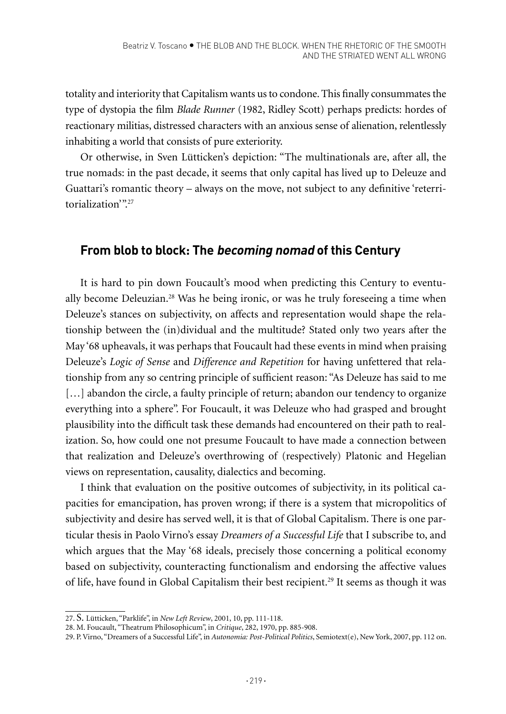totality and interiority that Capitalism wants us to condone. This finally consummates the type of dystopia the film *Blade Runner* (1982, Ridley Scott) perhaps predicts: hordes of reactionary militias, distressed characters with an anxious sense of alienation, relentlessly inhabiting a world that consists of pure exteriority.

Or otherwise, in Sven Lütticken's depiction: "The multinationals are, after all, the true nomads: in the past decade, it seems that only capital has lived up to Deleuze and Guattari's romantic theory – always on the move, not subject to any definitive 'reterritorialization'".27

## **From blob to block: The becoming nomad of this Century**

It is hard to pin down Foucault's mood when predicting this Century to eventually become Deleuzian.28 Was he being ironic, or was he truly foreseeing a time when Deleuze's stances on subjectivity, on affects and representation would shape the relationship between the (in)dividual and the multitude? Stated only two years after the May '68 upheavals, it was perhaps that Foucault had these events in mind when praising Deleuze's *Logic of Sense* and *Difference and Repetition* for having unfettered that relationship from any so centring principle of sufficient reason: "As Deleuze has said to me [...] abandon the circle, a faulty principle of return; abandon our tendency to organize everything into a sphere". For Foucault, it was Deleuze who had grasped and brought plausibility into the difficult task these demands had encountered on their path to realization. So, how could one not presume Foucault to have made a connection between that realization and Deleuze's overthrowing of (respectively) Platonic and Hegelian views on representation, causality, dialectics and becoming.

I think that evaluation on the positive outcomes of subjectivity, in its political capacities for emancipation, has proven wrong; if there is a system that micropolitics of subjectivity and desire has served well, it is that of Global Capitalism. There is one particular thesis in Paolo Virno's essay *Dreamers of a Successful Life* that I subscribe to, and which argues that the May '68 ideals, precisely those concerning a political economy based on subjectivity, counteracting functionalism and endorsing the affective values of life, have found in Global Capitalism their best recipient.<sup>29</sup> It seems as though it was

<sup>27.</sup> S. Lütticken, "Parklife", in *New Left Review*, 2001, 10, pp. 111-118.

<sup>28.</sup> M. Foucault, "Theatrum Philosophicum", in *Critique*, 282, 1970, pp. 885-908.

<sup>29.</sup> P. Virno, "Dreamers of a Successful Life", in *Autonomia: Post-Political Politics*, Semiotext(e), New York, 2007, pp. 112 on.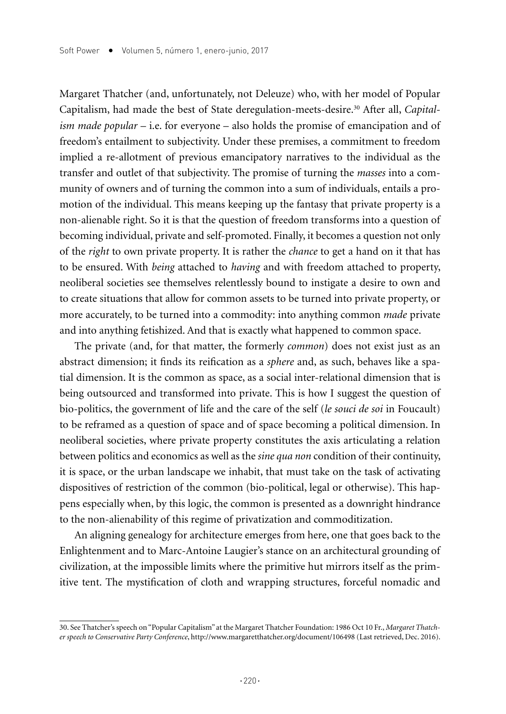Margaret Thatcher (and, unfortunately, not Deleuze) who, with her model of Popular Capitalism, had made the best of State deregulation-meets-desire.30 After all, *Capitalism made popular* – i.e. for everyone – also holds the promise of emancipation and of freedom's entailment to subjectivity. Under these premises, a commitment to freedom implied a re-allotment of previous emancipatory narratives to the individual as the transfer and outlet of that subjectivity. The promise of turning the *masses* into a community of owners and of turning the common into a sum of individuals, entails a promotion of the individual. This means keeping up the fantasy that private property is a non-alienable right. So it is that the question of freedom transforms into a question of becoming individual, private and self-promoted. Finally, it becomes a question not only of the *right* to own private property. It is rather the *chance* to get a hand on it that has to be ensured. With *being* attached to *having* and with freedom attached to property, neoliberal societies see themselves relentlessly bound to instigate a desire to own and to create situations that allow for common assets to be turned into private property, or more accurately, to be turned into a commodity: into anything common *made* private and into anything fetishized. And that is exactly what happened to common space.

The private (and, for that matter, the formerly *common*) does not exist just as an abstract dimension; it finds its reification as a *sphere* and, as such, behaves like a spatial dimension. It is the common as space, as a social inter-relational dimension that is being outsourced and transformed into private. This is how I suggest the question of bio-politics, the government of life and the care of the self (*le souci de soi* in Foucault) to be reframed as a question of space and of space becoming a political dimension. In neoliberal societies, where private property constitutes the axis articulating a relation between politics and economics as well as the *sine qua non* condition of their continuity, it is space, or the urban landscape we inhabit, that must take on the task of activating dispositives of restriction of the common (bio-political, legal or otherwise). This happens especially when, by this logic, the common is presented as a downright hindrance to the non-alienability of this regime of privatization and commoditization.

An aligning genealogy for architecture emerges from here, one that goes back to the Enlightenment and to Marc-Antoine Laugier's stance on an architectural grounding of civilization, at the impossible limits where the primitive hut mirrors itself as the primitive tent. The mystification of cloth and wrapping structures, forceful nomadic and

<sup>30.</sup> See Thatcher's speech on "Popular Capitalism" at the Margaret Thatcher Foundation: 1986 Oct 10 Fr., *Margaret Thatcher speech to Conservative Party Conference*, http://www.margaretthatcher.org/document/106498 (Last retrieved, Dec. 2016).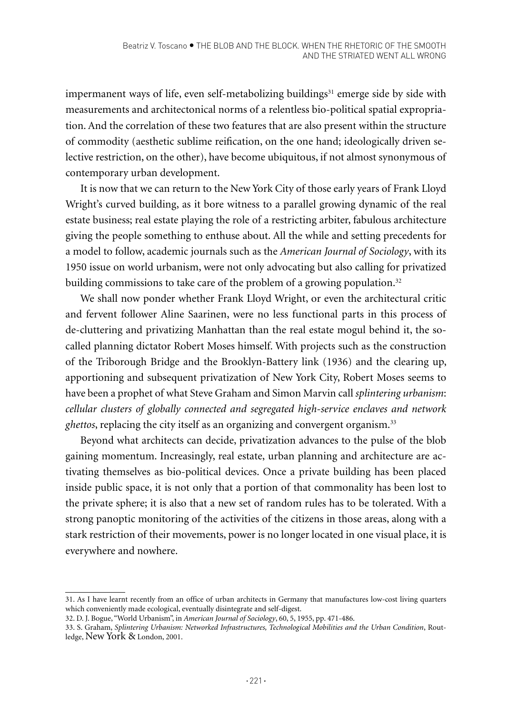impermanent ways of life, even self-metabolizing buildings<sup>31</sup> emerge side by side with measurements and architectonical norms of a relentless bio-political spatial expropriation. And the correlation of these two features that are also present within the structure of commodity (aesthetic sublime reification, on the one hand; ideologically driven selective restriction, on the other), have become ubiquitous, if not almost synonymous of contemporary urban development.

It is now that we can return to the New York City of those early years of Frank Lloyd Wright's curved building, as it bore witness to a parallel growing dynamic of the real estate business; real estate playing the role of a restricting arbiter, fabulous architecture giving the people something to enthuse about. All the while and setting precedents for a model to follow, academic journals such as the *American Journal of Sociology*, with its 1950 issue on world urbanism, were not only advocating but also calling for privatized building commissions to take care of the problem of a growing population.<sup>32</sup>

We shall now ponder whether Frank Lloyd Wright, or even the architectural critic and fervent follower Aline Saarinen, were no less functional parts in this process of de-cluttering and privatizing Manhattan than the real estate mogul behind it, the socalled planning dictator Robert Moses himself. With projects such as the construction of the Triborough Bridge and the Brooklyn-Battery link (1936) and the clearing up, apportioning and subsequent privatization of New York City, Robert Moses seems to have been a prophet of what Steve Graham and Simon Marvin call *splintering urbanism*: *cellular clusters of globally connected and segregated high-service enclaves and network ghettos*, replacing the city itself as an organizing and convergent organism.33

Beyond what architects can decide, privatization advances to the pulse of the blob gaining momentum. Increasingly, real estate, urban planning and architecture are activating themselves as bio-political devices. Once a private building has been placed inside public space, it is not only that a portion of that commonality has been lost to the private sphere; it is also that a new set of random rules has to be tolerated. With a strong panoptic monitoring of the activities of the citizens in those areas, along with a stark restriction of their movements, power is no longer located in one visual place, it is everywhere and nowhere.

<sup>31.</sup> As I have learnt recently from an office of urban architects in Germany that manufactures low-cost living quarters which conveniently made ecological, eventually disintegrate and self-digest.

<sup>32.</sup> D. J. Bogue, "World Urbanism", in *American Journal of Sociology*, 60, 5, 1955, pp. 471-486.

<sup>33.</sup> S. Graham, *Splintering Urbanism: Networked Infrastructures, Technological Mobilities and the Urban Condition*, Routledge, New York & London, 2001.